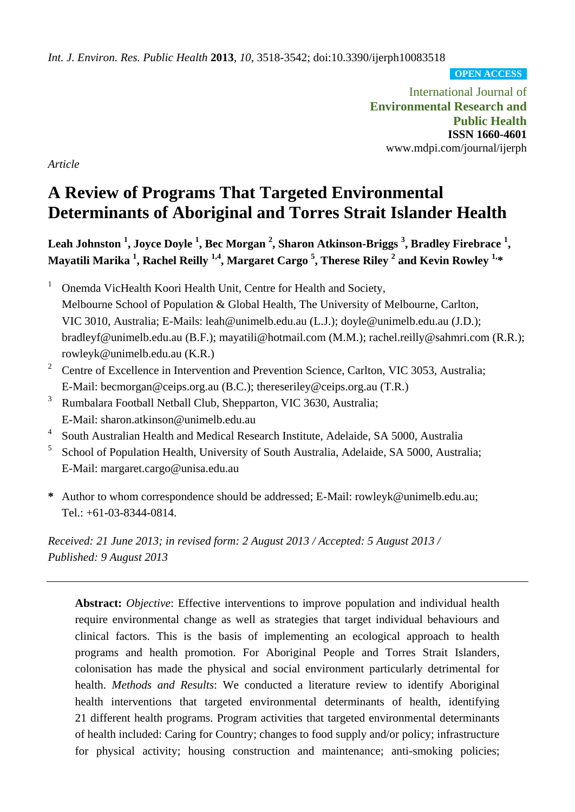*Int. J. Environ. Res. Public Health* **2013**, *10*, 3518-3542; doi:10.3390/ijerph10083518

**OPEN ACCESS**

International Journal of **Environmental Research and Public Health ISSN 1660-4601** www.mdpi.com/journal/ijerph

*Article*

# **A Review of Programs That Targeted Environmental Determinants of Aboriginal and Torres Strait Islander Health**

Leah Johnston <sup>1</sup>, Joyce Doyle <sup>1</sup>, Bec Morgan <sup>2</sup>, Sharon Atkinson-Briggs <sup>3</sup>, Bradley Firebrace <sup>1</sup>, **Mayatili Marika <sup>1</sup> , Rachel Reilly 1,4, Margaret Cargo <sup>5</sup> , Therese Riley <sup>2</sup> and Kevin Rowley 1, \***

<sup>1</sup> Onemda VicHealth Koori Health Unit, Centre for Health and Society, Melbourne School of Population & Global Health, The University of Melbourne, Carlton, VIC 3010, Australia; E-Mails: leah@unimelb.edu.au (L.J.); doyle@unimelb.edu.au (J.D.); bradleyf@unimelb.edu.au (B.F.); mayatili@hotmail.com (M.M.); rachel.reilly@sahmri.com (R.R.); rowleyk@unimelb.edu.au (K.R.)

- <sup>2</sup> Centre of Excellence in Intervention and Prevention Science, Carlton, VIC 3053, Australia; E-Mail: becmorgan@ceips.org.au (B.C.); thereseriley@ceips.org.au (T.R.)
- <sup>3</sup> Rumbalara Football Netball Club, Shepparton, VIC 3630, Australia; E-Mail: sharon.atkinson@unimelb.edu.au
- 4 South Australian Health and Medical Research Institute, Adelaide, SA 5000, Australia
- 5 School of Population Health, University of South Australia, Adelaide, SA 5000, Australia; E-Mail: margaret.cargo@unisa.edu.au
- **\*** Author to whom correspondence should be addressed; E-Mail: rowleyk@unimelb.edu.au; Tel.: +61-03-8344-0814.

*Received: 21 June 2013; in revised form: 2 August 2013 / Accepted: 5 August 2013 / Published: 9 August 2013*

**Abstract:** *Objective*: Effective interventions to improve population and individual health require environmental change as well as strategies that target individual behaviours and clinical factors. This is the basis of implementing an ecological approach to health programs and health promotion. For Aboriginal People and Torres Strait Islanders, colonisation has made the physical and social environment particularly detrimental for health. *Methods and Results*: We conducted a literature review to identify Aboriginal health interventions that targeted environmental determinants of health, identifying 21 different health programs. Program activities that targeted environmental determinants of health included: Caring for Country; changes to food supply and/or policy; infrastructure for physical activity; housing construction and maintenance; anti-smoking policies;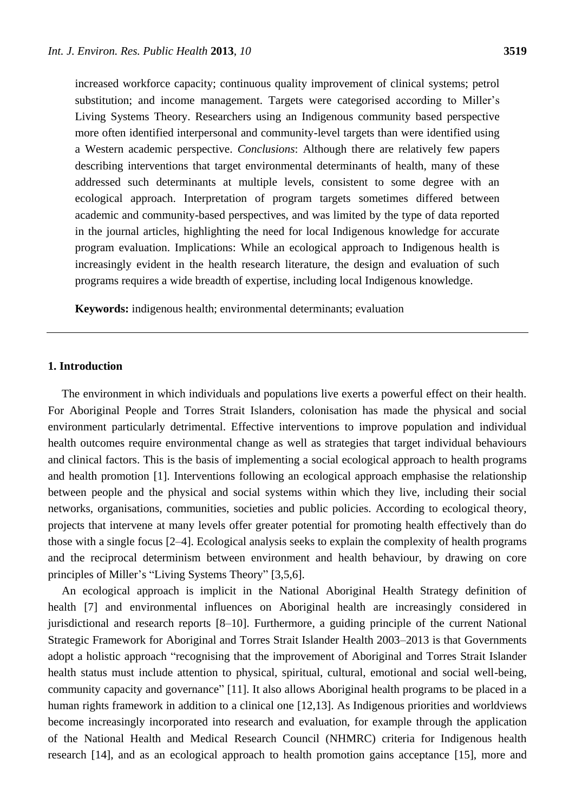increased workforce capacity; continuous quality improvement of clinical systems; petrol substitution; and income management. Targets were categorised according to Miller's Living Systems Theory. Researchers using an Indigenous community based perspective more often identified interpersonal and community-level targets than were identified using a Western academic perspective. *Conclusions*: Although there are relatively few papers describing interventions that target environmental determinants of health, many of these addressed such determinants at multiple levels, consistent to some degree with an ecological approach. Interpretation of program targets sometimes differed between academic and community-based perspectives, and was limited by the type of data reported in the journal articles, highlighting the need for local Indigenous knowledge for accurate program evaluation. Implications: While an ecological approach to Indigenous health is increasingly evident in the health research literature, the design and evaluation of such programs requires a wide breadth of expertise, including local Indigenous knowledge.

**Keywords:** indigenous health; environmental determinants; evaluation

## **1. Introduction**

The environment in which individuals and populations live exerts a powerful effect on their health. For Aboriginal People and Torres Strait Islanders, colonisation has made the physical and social environment particularly detrimental. Effective interventions to improve population and individual health outcomes require environmental change as well as strategies that target individual behaviours and clinical factors. This is the basis of implementing a social ecological approach to health programs and health promotion [1]. Interventions following an ecological approach emphasise the relationship between people and the physical and social systems within which they live, including their social networks, organisations, communities, societies and public policies. According to ecological theory, projects that intervene at many levels offer greater potential for promoting health effectively than do those with a single focus [2–4]. Ecological analysis seeks to explain the complexity of health programs and the reciprocal determinism between environment and health behaviour, by drawing on core principles of Miller's "Living Systems Theory" [3,5,6].

An ecological approach is implicit in the National Aboriginal Health Strategy definition of health [7] and environmental influences on Aboriginal health are increasingly considered in jurisdictional and research reports [8–10]. Furthermore, a guiding principle of the current National Strategic Framework for Aboriginal and Torres Strait Islander Health 2003–2013 is that Governments adopt a holistic approach "recognising that the improvement of Aboriginal and Torres Strait Islander health status must include attention to physical, spiritual, cultural, emotional and social well-being, community capacity and governance" [11]. It also allows Aboriginal health programs to be placed in a human rights framework in addition to a clinical one [12,13]. As Indigenous priorities and worldviews become increasingly incorporated into research and evaluation, for example through the application of the National Health and Medical Research Council (NHMRC) criteria for Indigenous health research [14], and as an ecological approach to health promotion gains acceptance [15], more and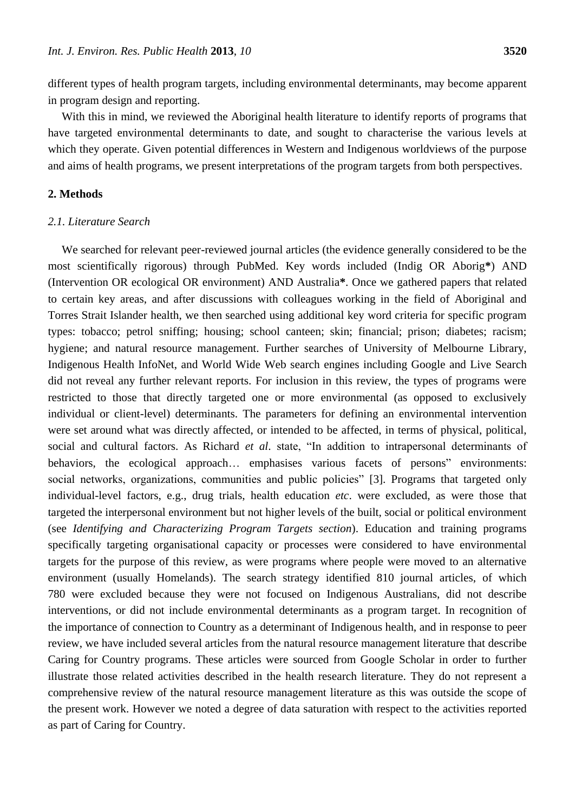different types of health program targets, including environmental determinants, may become apparent in program design and reporting.

With this in mind, we reviewed the Aboriginal health literature to identify reports of programs that have targeted environmental determinants to date, and sought to characterise the various levels at which they operate. Given potential differences in Western and Indigenous worldviews of the purpose and aims of health programs, we present interpretations of the program targets from both perspectives.

### **2. Methods**

### *2.1. Literature Search*

We searched for relevant peer-reviewed journal articles (the evidence generally considered to be the most scientifically rigorous) through PubMed. Key words included (Indig OR Aborig**\***) AND (Intervention OR ecological OR environment) AND Australia**\***. Once we gathered papers that related to certain key areas, and after discussions with colleagues working in the field of Aboriginal and Torres Strait Islander health, we then searched using additional key word criteria for specific program types: tobacco; petrol sniffing; housing; school canteen; skin; financial; prison; diabetes; racism; hygiene; and natural resource management. Further searches of University of Melbourne Library, Indigenous Health InfoNet, and World Wide Web search engines including Google and Live Search did not reveal any further relevant reports. For inclusion in this review, the types of programs were restricted to those that directly targeted one or more environmental (as opposed to exclusively individual or client-level) determinants. The parameters for defining an environmental intervention were set around what was directly affected, or intended to be affected, in terms of physical, political, social and cultural factors. As Richard *et al.* state, "In addition to intrapersonal determinants of behaviors, the ecological approach... emphasises various facets of persons" environments: social networks, organizations, communities and public policies" [3]. Programs that targeted only individual-level factors, e.g., drug trials, health education *etc*. were excluded, as were those that targeted the interpersonal environment but not higher levels of the built, social or political environment (see *Identifying and Characterizing Program Targets section*). Education and training programs specifically targeting organisational capacity or processes were considered to have environmental targets for the purpose of this review, as were programs where people were moved to an alternative environment (usually Homelands). The search strategy identified 810 journal articles, of which 780 were excluded because they were not focused on Indigenous Australians, did not describe interventions, or did not include environmental determinants as a program target. In recognition of the importance of connection to Country as a determinant of Indigenous health, and in response to peer review, we have included several articles from the natural resource management literature that describe Caring for Country programs. These articles were sourced from Google Scholar in order to further illustrate those related activities described in the health research literature. They do not represent a comprehensive review of the natural resource management literature as this was outside the scope of the present work. However we noted a degree of data saturation with respect to the activities reported as part of Caring for Country.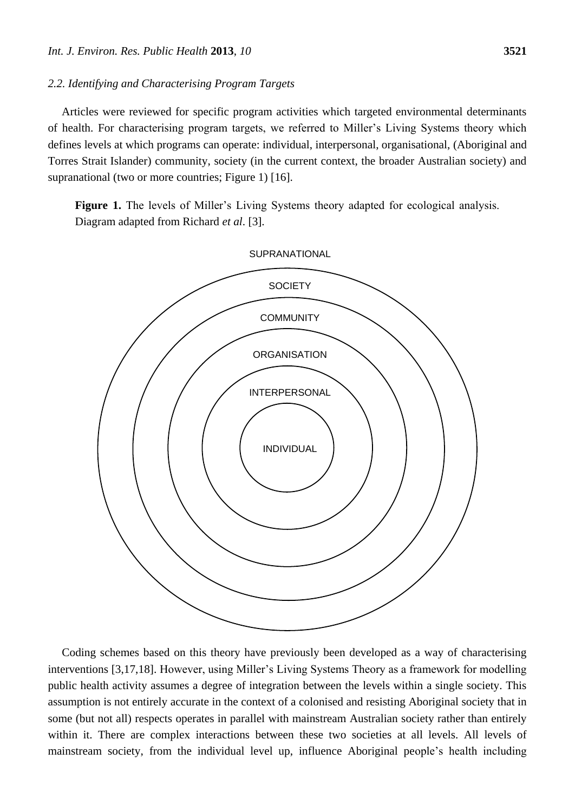#### *2.2. Identifying and Characterising Program Targets*

Articles were reviewed for specific program activities which targeted environmental determinants of health. For characterising program targets, we referred to Miller's Living Systems theory which defines levels at which programs can operate: individual, interpersonal, organisational, (Aboriginal and Torres Strait Islander) community, society (in the current context, the broader Australian society) and supranational (two or more countries; Figure 1) [16].

Figure 1. The levels of Miller's Living Systems theory adapted for ecological analysis. Diagram adapted from Richard *et al*. [3].



Coding schemes based on this theory have previously been developed as a way of characterising interventions [3,17,18]. However, using Miller's Living Systems Theory as a framework for modelling public health activity assumes a degree of integration between the levels within a single society. This assumption is not entirely accurate in the context of a colonised and resisting Aboriginal society that in some (but not all) respects operates in parallel with mainstream Australian society rather than entirely within it. There are complex interactions between these two societies at all levels. All levels of mainstream society, from the individual level up, influence Aboriginal people's health including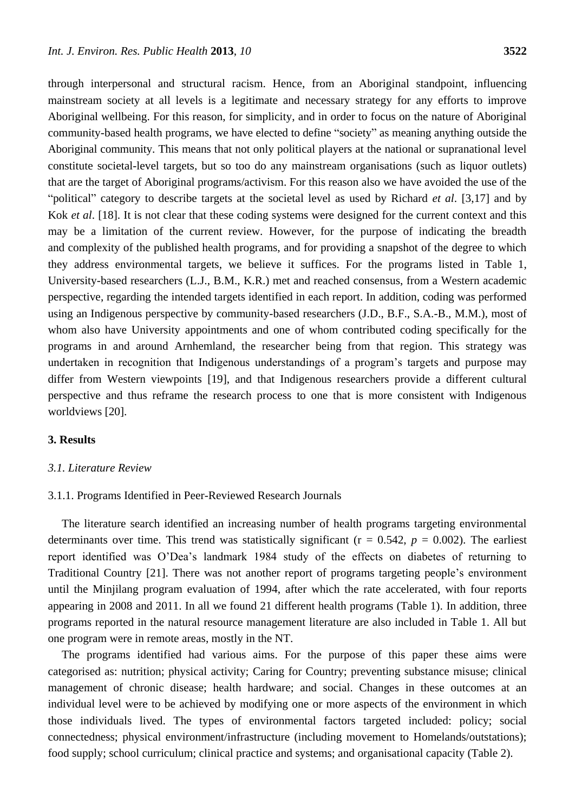through interpersonal and structural racism. Hence, from an Aboriginal standpoint, influencing mainstream society at all levels is a legitimate and necessary strategy for any efforts to improve Aboriginal wellbeing. For this reason, for simplicity, and in order to focus on the nature of Aboriginal community-based health programs, we have elected to define "society" as meaning anything outside the Aboriginal community. This means that not only political players at the national or supranational level constitute societal-level targets, but so too do any mainstream organisations (such as liquor outlets) that are the target of Aboriginal programs/activism. For this reason also we have avoided the use of the ―political‖ category to describe targets at the societal level as used by Richard *et al*. [3,17] and by Kok *et al*. [18]. It is not clear that these coding systems were designed for the current context and this may be a limitation of the current review. However, for the purpose of indicating the breadth and complexity of the published health programs, and for providing a snapshot of the degree to which they address environmental targets, we believe it suffices. For the programs listed in Table 1, University-based researchers (L.J., B.M., K.R.) met and reached consensus, from a Western academic perspective, regarding the intended targets identified in each report. In addition, coding was performed using an Indigenous perspective by community-based researchers (J.D., B.F., S.A.-B., M.M.), most of whom also have University appointments and one of whom contributed coding specifically for the programs in and around Arnhemland, the researcher being from that region. This strategy was undertaken in recognition that Indigenous understandings of a program's targets and purpose may differ from Western viewpoints [19], and that Indigenous researchers provide a different cultural perspective and thus reframe the research process to one that is more consistent with Indigenous worldviews [20].

# **3. Results**

#### *3.1. Literature Review*

#### 3.1.1. Programs Identified in Peer-Reviewed Research Journals

The literature search identified an increasing number of health programs targeting environmental determinants over time. This trend was statistically significant ( $r = 0.542$ ,  $p = 0.002$ ). The earliest report identified was O'Dea's landmark 1984 study of the effects on diabetes of returning to Traditional Country [21]. There was not another report of programs targeting people's environment until the Minjilang program evaluation of 1994, after which the rate accelerated, with four reports appearing in 2008 and 2011. In all we found 21 different health programs (Table 1). In addition, three programs reported in the natural resource management literature are also included in Table 1. All but one program were in remote areas, mostly in the NT.

The programs identified had various aims. For the purpose of this paper these aims were categorised as: nutrition; physical activity; Caring for Country; preventing substance misuse; clinical management of chronic disease; health hardware; and social. Changes in these outcomes at an individual level were to be achieved by modifying one or more aspects of the environment in which those individuals lived. The types of environmental factors targeted included: policy; social connectedness; physical environment/infrastructure (including movement to Homelands/outstations); food supply; school curriculum; clinical practice and systems; and organisational capacity (Table 2).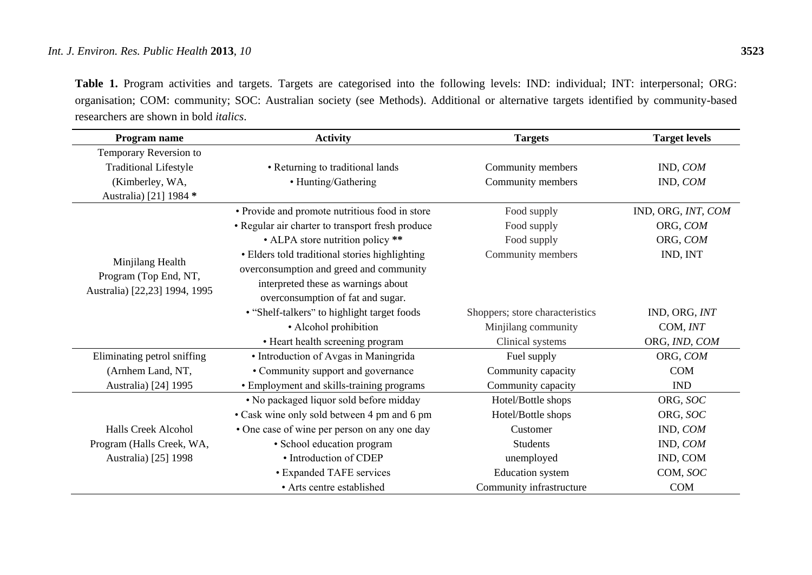# *Int. J. Environ. Res. Public Health* **2013**, *10* **3523**

**Table 1.** Program activities and targets. Targets are categorised into the following levels: IND: individual; INT: interpersonal; ORG: organisation; COM: community; SOC: Australian society (see Methods). Additional or alternative targets identified by community-based researchers are shown in bold *italics*.

| Program name                              | <b>Activity</b>                                  | <b>Targets</b>                  | <b>Target levels</b> |  |
|-------------------------------------------|--------------------------------------------------|---------------------------------|----------------------|--|
| Temporary Reversion to                    |                                                  |                                 |                      |  |
| <b>Traditional Lifestyle</b>              | • Returning to traditional lands                 | Community members               | IND, COM             |  |
| (Kimberley, WA,                           | • Hunting/Gathering                              | Community members               | IND, COM             |  |
| Australia) [21] 1984 *                    |                                                  |                                 |                      |  |
|                                           | • Provide and promote nutritious food in store   | Food supply                     | IND, ORG, INT, COM   |  |
|                                           | • Regular air charter to transport fresh produce | Food supply                     | ORG, COM             |  |
|                                           | • ALPA store nutrition policy **                 | Food supply                     | ORG, COM             |  |
|                                           | • Elders told traditional stories highlighting   | Community members               | IND, INT             |  |
| Minjilang Health<br>Program (Top End, NT, | overconsumption and greed and community          |                                 |                      |  |
| Australia) [22,23] 1994, 1995             | interpreted these as warnings about              |                                 |                      |  |
|                                           | overconsumption of fat and sugar.                |                                 |                      |  |
|                                           | • "Shelf-talkers" to highlight target foods      | Shoppers; store characteristics | IND, ORG, INT        |  |
|                                           | • Alcohol prohibition                            | Minjilang community             | COM, INT             |  |
|                                           | • Heart health screening program                 | Clinical systems                | ORG, IND, COM        |  |
| Eliminating petrol sniffing               | • Introduction of Avgas in Maningrida            | Fuel supply                     | ORG, COM             |  |
| (Arnhem Land, NT,                         | • Community support and governance               |                                 | <b>COM</b>           |  |
| Australia) [24] 1995                      | • Employment and skills-training programs        | Community capacity              | IND                  |  |
|                                           | • No packaged liquor sold before midday          | Hotel/Bottle shops              | ORG, SOC             |  |
|                                           | • Cask wine only sold between 4 pm and 6 pm      | Hotel/Bottle shops              | ORG, SOC             |  |
| <b>Halls Creek Alcohol</b>                | • One case of wine per person on any one day     | Customer                        | IND, COM             |  |
| Program (Halls Creek, WA,                 | • School education program                       | <b>Students</b>                 | IND, COM             |  |
| Australia) [25] 1998                      | • Introduction of CDEP                           | unemployed                      | IND, COM             |  |
|                                           | • Expanded TAFE services                         | <b>Education</b> system         | COM, SOC             |  |
|                                           | • Arts centre established                        | Community infrastructure        | COM                  |  |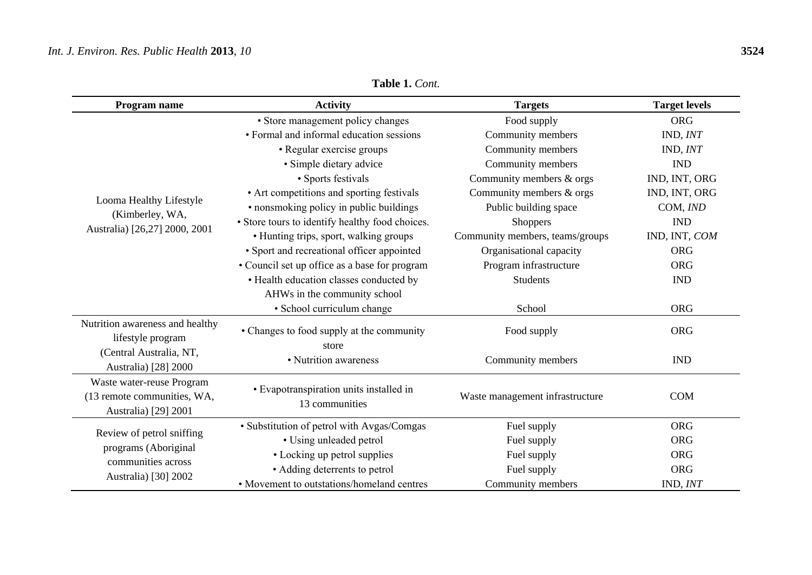# *Int. J. Environ. Res. Public Health* **2013**, *10* **3524**

| Program name                                                                     | <b>Activity</b>                                           | <b>Targets</b>                  | <b>Target levels</b> |  |
|----------------------------------------------------------------------------------|-----------------------------------------------------------|---------------------------------|----------------------|--|
|                                                                                  | · Store management policy changes                         | Food supply                     | <b>ORG</b>           |  |
|                                                                                  | • Formal and informal education sessions                  | Community members               | IND, INT             |  |
|                                                                                  | • Regular exercise groups                                 | Community members               | IND, INT             |  |
|                                                                                  | · Simple dietary advice                                   | Community members               | <b>IND</b>           |  |
|                                                                                  | • Sports festivals                                        | Community members & orgs        | IND, INT, ORG        |  |
|                                                                                  | • Art competitions and sporting festivals                 | Community members & orgs        | IND, INT, ORG        |  |
| Looma Healthy Lifestyle                                                          | • nonsmoking policy in public buildings                   | Public building space           | COM, IND             |  |
| (Kimberley, WA,                                                                  | • Store tours to identify healthy food choices.           | <b>Shoppers</b>                 | <b>IND</b>           |  |
| Australia) [26,27] 2000, 2001                                                    | • Hunting trips, sport, walking groups                    | Community members, teams/groups | IND, INT, COM        |  |
|                                                                                  | • Sport and recreational officer appointed                | Organisational capacity         | <b>ORG</b>           |  |
|                                                                                  | • Council set up office as a base for program             | Program infrastructure          | <b>ORG</b>           |  |
|                                                                                  | • Health education classes conducted by                   | <b>Students</b>                 | <b>IND</b>           |  |
|                                                                                  | AHWs in the community school                              |                                 |                      |  |
|                                                                                  | · School curriculum change                                | School                          | <b>ORG</b>           |  |
| Nutrition awareness and healthy<br>lifestyle program                             | • Changes to food supply at the community                 | Food supply                     | <b>ORG</b>           |  |
| (Central Australia, NT,<br>Australia) [28] 2000                                  | store<br>• Nutrition awareness                            | Community members               | <b>IND</b>           |  |
| Waste water-reuse Program<br>(13 remote communities, WA,<br>Australia) [29] 2001 | • Evapotranspiration units installed in<br>13 communities | Waste management infrastructure | <b>COM</b>           |  |
|                                                                                  | • Substitution of petrol with Avgas/Comgas                | Fuel supply                     | <b>ORG</b>           |  |
| Review of petrol sniffing                                                        | • Using unleaded petrol                                   | Fuel supply                     | <b>ORG</b>           |  |
| programs (Aboriginal                                                             | • Locking up petrol supplies                              | Fuel supply                     | <b>ORG</b>           |  |
| communities across                                                               | • Adding deterrents to petrol                             | Fuel supply                     | <b>ORG</b>           |  |
| Australia) [30] 2002                                                             | • Movement to outstations/homeland centres                | Community members               | IND, INT             |  |

**Table 1.** *Cont.*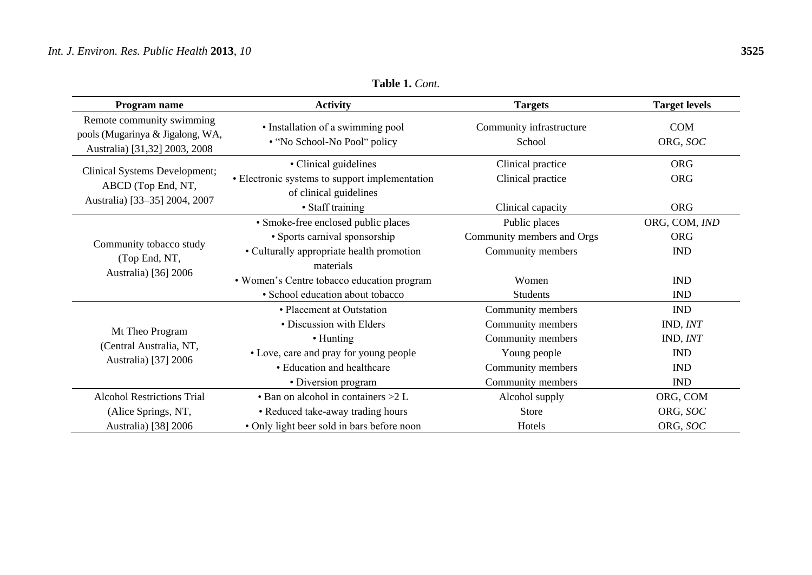| Program name                                                  | <b>Activity</b>                                                | <b>Targets</b>             | <b>Target levels</b> |  |
|---------------------------------------------------------------|----------------------------------------------------------------|----------------------------|----------------------|--|
| Remote community swimming<br>pools (Mugarinya & Jigalong, WA, | • Installation of a swimming pool                              | Community infrastructure   | <b>COM</b>           |  |
| Australia) [31,32] 2003, 2008                                 | • "No School-No Pool" policy                                   | School                     | ORG, SOC             |  |
|                                                               | • Clinical guidelines                                          | Clinical practice          | <b>ORG</b>           |  |
| Clinical Systems Development;                                 | • Electronic systems to support implementation                 | Clinical practice          | <b>ORG</b>           |  |
| ABCD (Top End, NT,                                            | of clinical guidelines                                         |                            |                      |  |
| Australia) [33-35] 2004, 2007                                 | • Staff training                                               | Clinical capacity          | <b>ORG</b>           |  |
|                                                               | • Smoke-free enclosed public places                            | Public places              | ORG, COM, IND        |  |
|                                                               | • Sports carnival sponsorship                                  | Community members and Orgs | <b>ORG</b>           |  |
| Community tobacco study                                       | • Culturally appropriate health promotion<br>Community members |                            | <b>IND</b>           |  |
| (Top End, NT,<br>Australia) [36] 2006                         | materials                                                      |                            |                      |  |
|                                                               | • Women's Centre tobacco education program                     | Women                      | <b>IND</b>           |  |
|                                                               | · School education about tobacco                               | <b>Students</b>            | <b>IND</b>           |  |
|                                                               | • Placement at Outstation                                      | Community members          | <b>IND</b>           |  |
|                                                               | • Discussion with Elders                                       | Community members          | IND, INT             |  |
| Mt Theo Program<br>(Central Australia, NT,                    | • Hunting                                                      | Community members          | IND, INT             |  |
|                                                               | • Love, care and pray for young people                         | Young people               | <b>IND</b>           |  |
| Australia) [37] 2006                                          | • Education and healthcare                                     | Community members          | <b>IND</b>           |  |
|                                                               | • Diversion program                                            | Community members          | <b>IND</b>           |  |
| <b>Alcohol Restrictions Trial</b>                             | $\bullet$ Ban on alcohol in containers $>2$ L                  | Alcohol supply             | ORG, COM             |  |
| (Alice Springs, NT,                                           | • Reduced take-away trading hours                              | <b>Store</b>               | ORG, SOC             |  |
| Australia) [38] 2006                                          | • Only light beer sold in bars before noon                     | Hotels                     | ORG, SOC             |  |

**Table 1.** *Cont.*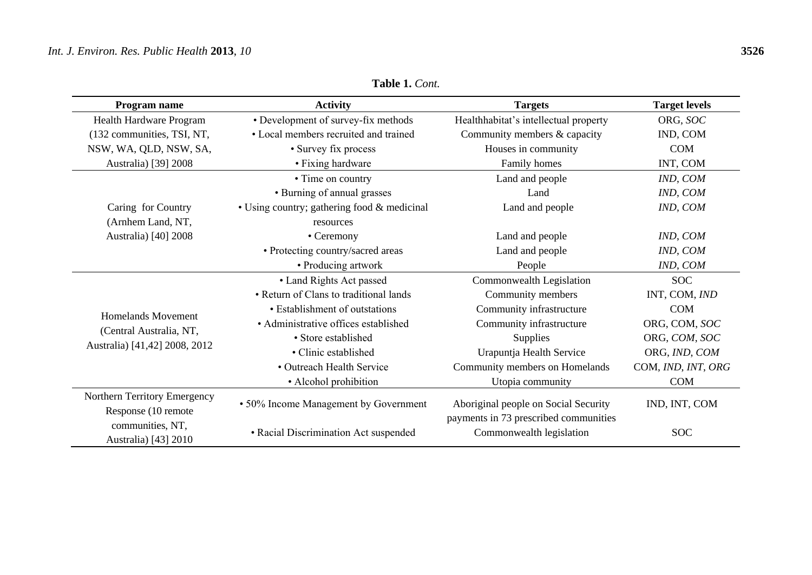| Program name                                        | <b>Activity</b>                             | <b>Targets</b>                                                    | <b>Target levels</b> |  |
|-----------------------------------------------------|---------------------------------------------|-------------------------------------------------------------------|----------------------|--|
| Health Hardware Program                             | • Development of survey-fix methods         | Healthhabitat's intellectual property                             | ORG, SOC             |  |
| (132 communities, TSI, NT,                          | • Local members recruited and trained       | Community members & capacity                                      | IND, COM             |  |
| NSW, WA, QLD, NSW, SA,                              | • Survey fix process                        | Houses in community                                               | <b>COM</b>           |  |
| Australia) [39] 2008                                | • Fixing hardware                           | Family homes                                                      | INT, COM             |  |
|                                                     | • Time on country                           | Land and people                                                   | IND, COM             |  |
|                                                     | • Burning of annual grasses                 | Land                                                              | IND, COM             |  |
| Caring for Country                                  | • Using country; gathering food & medicinal | Land and people                                                   | IND, COM             |  |
| (Arnhem Land, NT,                                   | resources                                   |                                                                   |                      |  |
| Australia) [40] 2008                                | • Ceremony                                  | Land and people                                                   | IND, COM             |  |
|                                                     | • Protecting country/sacred areas           | Land and people                                                   | IND, COM             |  |
|                                                     | • Producing artwork                         | People                                                            | IND, COM             |  |
|                                                     | • Land Rights Act passed                    | Commonwealth Legislation                                          | <b>SOC</b>           |  |
|                                                     | • Return of Clans to traditional lands      | Community members                                                 | INT, COM, IND        |  |
| <b>Homelands Movement</b>                           | • Establishment of outstations              | Community infrastructure                                          | <b>COM</b>           |  |
|                                                     | • Administrative offices established        | Community infrastructure                                          | ORG, COM, SOC        |  |
| (Central Australia, NT,                             | • Store established                         | Supplies                                                          | ORG, COM, SOC        |  |
| Australia) [41,42] 2008, 2012                       | • Clinic established                        | Urapuntja Health Service                                          | ORG, IND, COM        |  |
|                                                     | • Outreach Health Service                   | Community members on Homelands                                    | COM, IND, INT, ORG   |  |
|                                                     | • Alcohol prohibition                       | Utopia community                                                  | <b>COM</b>           |  |
| Northern Territory Emergency<br>Response (10 remote | • 50% Income Management by Government       | Aboriginal people on Social Security                              | IND, INT, COM        |  |
| communities, NT,<br>Australia) [43] 2010            | • Racial Discrimination Act suspended       | payments in 73 prescribed communities<br>Commonwealth legislation | <b>SOC</b>           |  |

**Table 1.** *Cont.*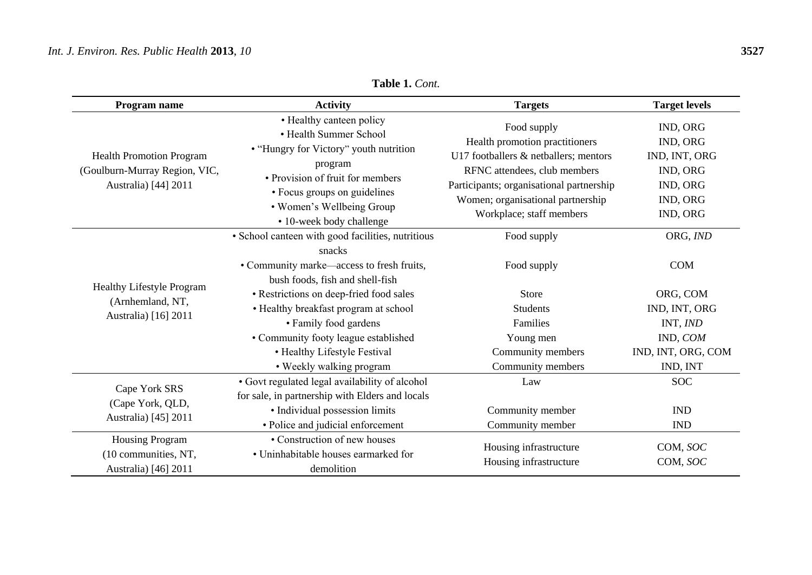# *Int. J. Environ. Res. Public Health* **2013**, *10* **3527**

| Program name                                                                             | <b>Activity</b>                                                                                                                                                                                                                      | <b>Targets</b>                                                                                                                                                                                                                      | <b>Target levels</b>                                                                  |
|------------------------------------------------------------------------------------------|--------------------------------------------------------------------------------------------------------------------------------------------------------------------------------------------------------------------------------------|-------------------------------------------------------------------------------------------------------------------------------------------------------------------------------------------------------------------------------------|---------------------------------------------------------------------------------------|
| <b>Health Promotion Program</b><br>(Goulburn-Murray Region, VIC,<br>Australia) [44] 2011 | • Healthy canteen policy<br>• Health Summer School<br>• "Hungry for Victory" youth nutrition<br>program<br>• Provision of fruit for members<br>• Focus groups on guidelines<br>• Women's Wellbeing Group<br>• 10-week body challenge | Food supply<br>Health promotion practitioners<br>U17 footballers & netballers; mentors<br>RFNC attendees, club members<br>Participants; organisational partnership<br>Women; organisational partnership<br>Workplace; staff members | IND, ORG<br>IND, ORG<br>IND, INT, ORG<br>IND, ORG<br>IND, ORG<br>IND, ORG<br>IND, ORG |
| Healthy Lifestyle Program<br>(Arnhemland, NT,<br>Australia) [16] 2011                    | • School canteen with good facilities, nutritious<br>snacks<br>• Community marke—access to fresh fruits,<br>bush foods, fish and shell-fish                                                                                          | Food supply<br>Food supply                                                                                                                                                                                                          | ORG, IND<br><b>COM</b>                                                                |
|                                                                                          | • Restrictions on deep-fried food sales<br>• Healthy breakfast program at school<br>• Family food gardens<br>• Community footy league established<br>• Healthy Lifestyle Festival<br>• Weekly walking program                        | Store<br><b>Students</b><br>Families<br>Young men<br>Community members<br>Community members                                                                                                                                         | ORG, COM<br>IND, INT, ORG<br>INT, IND<br>IND, COM<br>IND, INT, ORG, COM<br>IND, INT   |
| Cape York SRS<br>(Cape York, QLD,<br>Australia) [45] 2011                                | • Govt regulated legal availability of alcohol<br>for sale, in partnership with Elders and locals<br>• Individual possession limits<br>• Police and judicial enforcement                                                             | Law<br>Community member<br>Community member                                                                                                                                                                                         | <b>SOC</b><br><b>IND</b><br><b>IND</b>                                                |
| <b>Housing Program</b><br>(10 communities, NT,<br>Australia) [46] 2011                   | • Construction of new houses<br>• Uninhabitable houses earmarked for<br>demolition                                                                                                                                                   | Housing infrastructure<br>Housing infrastructure                                                                                                                                                                                    | COM, SOC<br>COM, SOC                                                                  |

**Table 1.** *Cont.*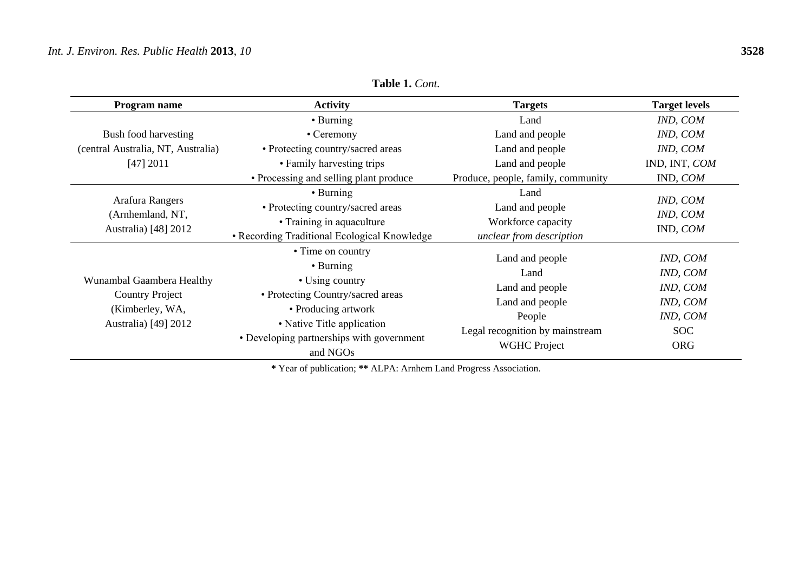| Program name                                                                                   | <b>Activity</b>                                                                                                             | <b>Targets</b>                                                            | <b>Target levels</b>             |
|------------------------------------------------------------------------------------------------|-----------------------------------------------------------------------------------------------------------------------------|---------------------------------------------------------------------------|----------------------------------|
|                                                                                                | $\cdot$ Burning                                                                                                             | Land                                                                      | IND, COM                         |
| Bush food harvesting                                                                           | • Ceremony                                                                                                                  | Land and people                                                           | IND, COM                         |
| (central Australia, NT, Australia)                                                             | • Protecting country/sacred areas                                                                                           | Land and people                                                           | IND, COM                         |
| [47] 2011                                                                                      | • Family harvesting trips                                                                                                   | Land and people                                                           | IND, INT, COM                    |
|                                                                                                | • Processing and selling plant produce<br>Produce, people, family, community                                                |                                                                           | IND, COM                         |
| Arafura Rangers<br>(Arnhemland, NT,<br>Australia) [48] 2012                                    | • Burning<br>• Protecting country/sacred areas<br>• Training in aquaculture<br>• Recording Traditional Ecological Knowledge | Land<br>Land and people<br>Workforce capacity<br>unclear from description | IND, COM<br>IND, COM<br>IND, COM |
|                                                                                                | • Time on country<br>$\cdot$ Burning                                                                                        | Land and people<br>Land                                                   | IND, COM<br>IND, COM             |
| Wunambal Gaambera Healthy<br><b>Country Project</b><br>(Kimberley, WA,<br>Australia) [49] 2012 | • Using country<br>• Protecting Country/sacred areas<br>• Producing artwork<br>• Native Title application                   | Land and people<br>Land and people<br>People                              | IND, COM<br>IND, COM<br>IND, COM |
|                                                                                                | • Developing partnerships with government<br>and NGOs                                                                       | Legal recognition by mainstream<br><b>WGHC Project</b>                    | <b>SOC</b><br><b>ORG</b>         |

**Table 1.** *Cont.*

**\*** Year of publication; **\*\*** ALPA: Arnhem Land Progress Association.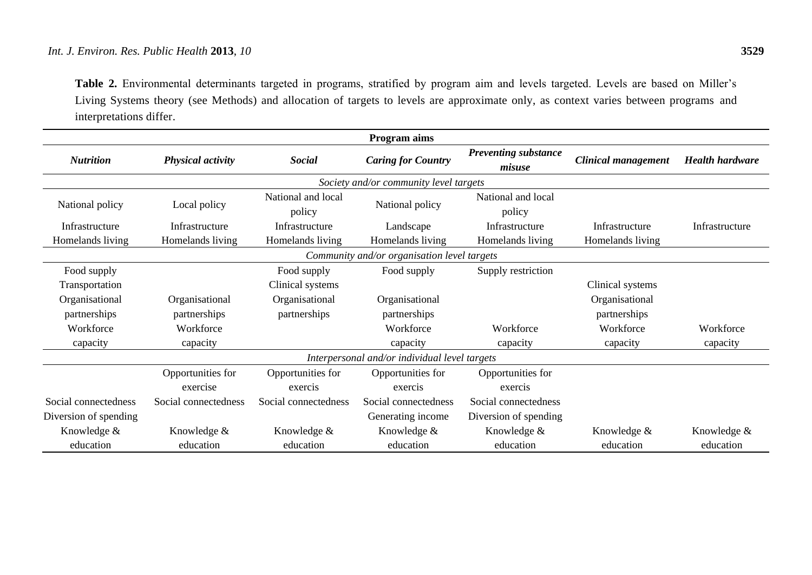**Table 2.** Environmental determinants targeted in programs, stratified by program aim and levels targeted. Levels are based on Miller's Living Systems theory (see Methods) and allocation of targets to levels are approximate only, as context varies between programs and interpretations differ.

| <b>Program</b> aims                           |                          |                      |                                        |                             |                            |                        |
|-----------------------------------------------|--------------------------|----------------------|----------------------------------------|-----------------------------|----------------------------|------------------------|
| <b>Nutrition</b>                              | <b>Physical activity</b> | <b>Social</b>        | <b>Caring for Country</b>              | <b>Preventing substance</b> | <b>Clinical management</b> | <b>Health hardware</b> |
|                                               |                          |                      |                                        | misuse                      |                            |                        |
|                                               |                          |                      | Society and/or community level targets |                             |                            |                        |
|                                               |                          | National and local   | National policy                        | National and local          |                            |                        |
| National policy                               | Local policy             | policy               |                                        | policy                      |                            |                        |
| Infrastructure                                | Infrastructure           | Infrastructure       | Landscape                              | Infrastructure              | Infrastructure             | Infrastructure         |
| Homelands living                              | Homelands living         | Homelands living     | Homelands living                       | Homelands living            | Homelands living           |                        |
| Community and/or organisation level targets   |                          |                      |                                        |                             |                            |                        |
| Food supply                                   |                          | Food supply          | Food supply                            | Supply restriction          |                            |                        |
| Transportation                                |                          | Clinical systems     |                                        |                             | Clinical systems           |                        |
| Organisational                                | Organisational           | Organisational       | Organisational                         |                             | Organisational             |                        |
| partnerships                                  | partnerships             | partnerships         | partnerships                           |                             | partnerships               |                        |
| Workforce                                     | Workforce                |                      | Workforce                              | Workforce                   | Workforce                  | Workforce              |
| capacity                                      | capacity                 |                      | capacity                               | capacity                    | capacity                   | capacity               |
| Interpersonal and/or individual level targets |                          |                      |                                        |                             |                            |                        |
|                                               | Opportunities for        | Opportunities for    | Opportunities for                      | Opportunities for           |                            |                        |
|                                               | exercise                 | exercis              | exercis                                | exercis                     |                            |                        |
| Social connectedness                          | Social connectedness     | Social connectedness | Social connectedness                   | Social connectedness        |                            |                        |
| Diversion of spending                         |                          |                      | Generating income                      | Diversion of spending       |                            |                        |
| Knowledge &                                   | Knowledge &              | Knowledge &          | Knowledge &                            | Knowledge &                 | Knowledge &                | Knowledge &            |
| education                                     | education                | education            | education                              | education                   | education                  | education              |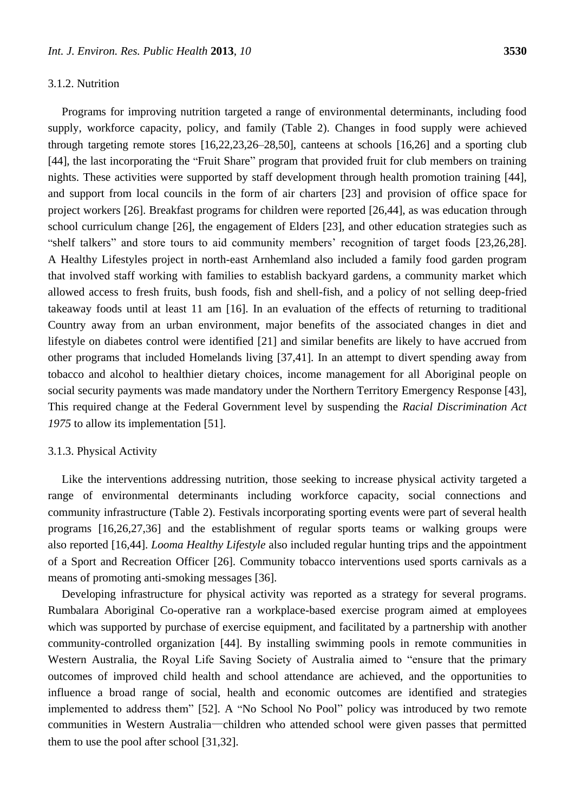### 3.1.2. Nutrition

Programs for improving nutrition targeted a range of environmental determinants, including food supply, workforce capacity, policy, and family (Table 2). Changes in food supply were achieved through targeting remote stores [16,22,23,26–28,50], canteens at schools [16,26] and a sporting club [44], the last incorporating the "Fruit Share" program that provided fruit for club members on training nights. These activities were supported by staff development through health promotion training [44], and support from local councils in the form of air charters [23] and provision of office space for project workers [26]. Breakfast programs for children were reported [26,44], as was education through school curriculum change [26], the engagement of Elders [23], and other education strategies such as "shelf talkers" and store tours to aid community members' recognition of target foods [23,26,28]. A Healthy Lifestyles project in north-east Arnhemland also included a family food garden program that involved staff working with families to establish backyard gardens, a community market which allowed access to fresh fruits, bush foods, fish and shell-fish, and a policy of not selling deep-fried takeaway foods until at least 11 am [16]. In an evaluation of the effects of returning to traditional Country away from an urban environment, major benefits of the associated changes in diet and lifestyle on diabetes control were identified [21] and similar benefits are likely to have accrued from other programs that included Homelands living [37,41]. In an attempt to divert spending away from tobacco and alcohol to healthier dietary choices, income management for all Aboriginal people on social security payments was made mandatory under the Northern Territory Emergency Response [43], This required change at the Federal Government level by suspending the *Racial Discrimination Act 1975* to allow its implementation [51].

#### 3.1.3. Physical Activity

Like the interventions addressing nutrition, those seeking to increase physical activity targeted a range of environmental determinants including workforce capacity, social connections and community infrastructure (Table 2). Festivals incorporating sporting events were part of several health programs [16,26,27,36] and the establishment of regular sports teams or walking groups were also reported [16,44]. *Looma Healthy Lifestyle* also included regular hunting trips and the appointment of a Sport and Recreation Officer [26]. Community tobacco interventions used sports carnivals as a means of promoting anti-smoking messages [36].

Developing infrastructure for physical activity was reported as a strategy for several programs. Rumbalara Aboriginal Co-operative ran a workplace-based exercise program aimed at employees which was supported by purchase of exercise equipment, and facilitated by a partnership with another community-controlled organization [44]. By installing swimming pools in remote communities in Western Australia, the Royal Life Saving Society of Australia aimed to "ensure that the primary outcomes of improved child health and school attendance are achieved, and the opportunities to influence a broad range of social, health and economic outcomes are identified and strategies implemented to address them" [52]. A "No School No Pool" policy was introduced by two remote communities in Western Australia—children who attended school were given passes that permitted them to use the pool after school [31,32].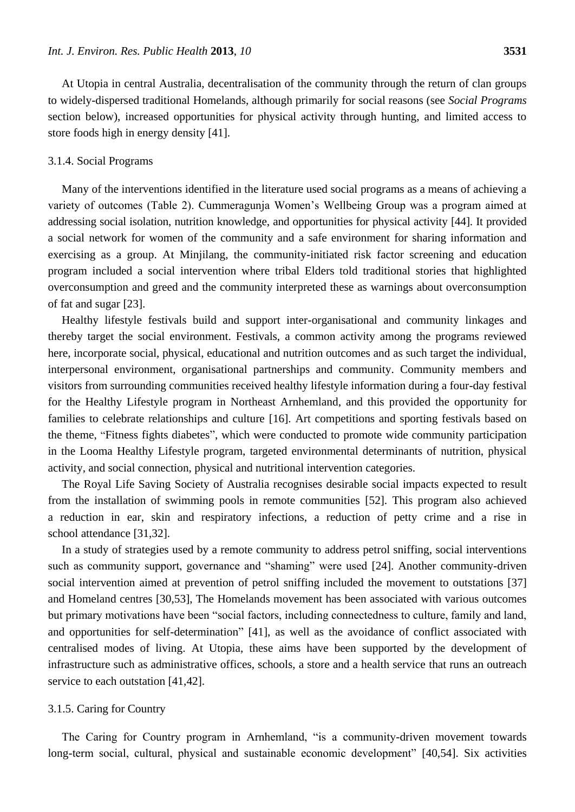At Utopia in central Australia, decentralisation of the community through the return of clan groups to widely-dispersed traditional Homelands, although primarily for social reasons (see *Social Programs* section below), increased opportunities for physical activity through hunting, and limited access to store foods high in energy density [41].

#### 3.1.4. Social Programs

Many of the interventions identified in the literature used social programs as a means of achieving a variety of outcomes (Table 2). Cummeragunja Women's Wellbeing Group was a program aimed at addressing social isolation, nutrition knowledge, and opportunities for physical activity [44]. It provided a social network for women of the community and a safe environment for sharing information and exercising as a group. At Minjilang, the community-initiated risk factor screening and education program included a social intervention where tribal Elders told traditional stories that highlighted overconsumption and greed and the community interpreted these as warnings about overconsumption of fat and sugar [23].

Healthy lifestyle festivals build and support inter-organisational and community linkages and thereby target the social environment. Festivals, a common activity among the programs reviewed here, incorporate social, physical, educational and nutrition outcomes and as such target the individual, interpersonal environment, organisational partnerships and community. Community members and visitors from surrounding communities received healthy lifestyle information during a four-day festival for the Healthy Lifestyle program in Northeast Arnhemland, and this provided the opportunity for families to celebrate relationships and culture [16]. Art competitions and sporting festivals based on the theme, "Fitness fights diabetes", which were conducted to promote wide community participation in the Looma Healthy Lifestyle program, targeted environmental determinants of nutrition, physical activity, and social connection, physical and nutritional intervention categories.

The Royal Life Saving Society of Australia recognises desirable social impacts expected to result from the installation of swimming pools in remote communities [52]. This program also achieved a reduction in ear, skin and respiratory infections, a reduction of petty crime and a rise in school attendance [31,32].

In a study of strategies used by a remote community to address petrol sniffing, social interventions such as community support, governance and "shaming" were used [24]. Another community-driven social intervention aimed at prevention of petrol sniffing included the movement to outstations [37] and Homeland centres [30,53], The Homelands movement has been associated with various outcomes but primary motivations have been "social factors, including connectedness to culture, family and land, and opportunities for self-determination" [41], as well as the avoidance of conflict associated with centralised modes of living. At Utopia, these aims have been supported by the development of infrastructure such as administrative offices, schools, a store and a health service that runs an outreach service to each outstation [41,42].

#### 3.1.5. Caring for Country

The Caring for Country program in Arnhemland, "is a community-driven movement towards long-term social, cultural, physical and sustainable economic development" [40,54]. Six activities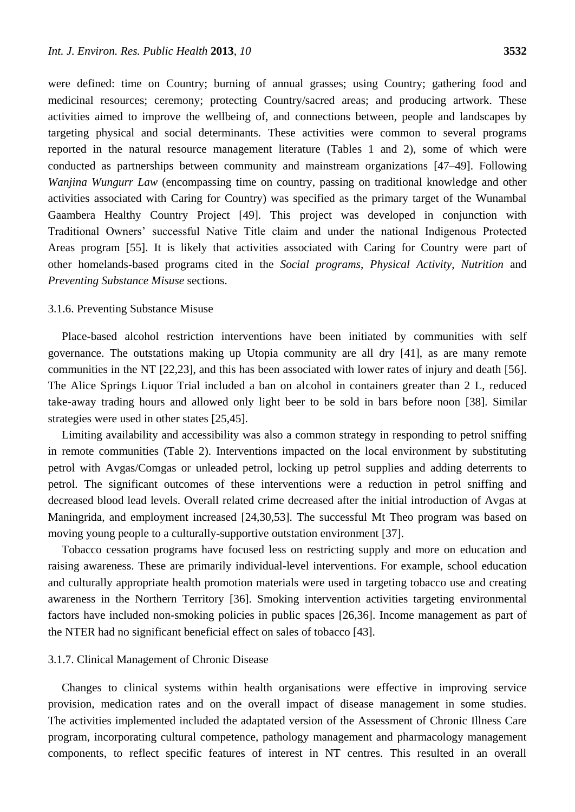were defined: time on Country; burning of annual grasses; using Country; gathering food and medicinal resources; ceremony; protecting Country/sacred areas; and producing artwork. These activities aimed to improve the wellbeing of, and connections between, people and landscapes by targeting physical and social determinants. These activities were common to several programs reported in the natural resource management literature (Tables 1 and 2), some of which were conducted as partnerships between community and mainstream organizations [47–49]. Following *Wanjina Wungurr Law* (encompassing time on country, passing on traditional knowledge and other activities associated with Caring for Country) was specified as the primary target of the Wunambal Gaambera Healthy Country Project [49]. This project was developed in conjunction with Traditional Owners' successful Native Title claim and under the national Indigenous Protected Areas program [55]. It is likely that activities associated with Caring for Country were part of other homelands-based programs cited in the *Social programs*, *Physical Activity*, *Nutrition* and *Preventing Substance Misuse* sections.

#### 3.1.6. Preventing Substance Misuse

Place-based alcohol restriction interventions have been initiated by communities with self governance. The outstations making up Utopia community are all dry [41], as are many remote communities in the NT [22,23], and this has been associated with lower rates of injury and death [56]. The Alice Springs Liquor Trial included a ban on alcohol in containers greater than 2 L, reduced take-away trading hours and allowed only light beer to be sold in bars before noon [38]. Similar strategies were used in other states [25,45].

Limiting availability and accessibility was also a common strategy in responding to petrol sniffing in remote communities (Table 2). Interventions impacted on the local environment by substituting petrol with Avgas/Comgas or unleaded petrol, locking up petrol supplies and adding deterrents to petrol. The significant outcomes of these interventions were a reduction in petrol sniffing and decreased blood lead levels. Overall related crime decreased after the initial introduction of Avgas at Maningrida, and employment increased [24,30,53]. The successful Mt Theo program was based on moving young people to a culturally-supportive outstation environment [37].

Tobacco cessation programs have focused less on restricting supply and more on education and raising awareness. These are primarily individual-level interventions. For example, school education and culturally appropriate health promotion materials were used in targeting tobacco use and creating awareness in the Northern Territory [36]. Smoking intervention activities targeting environmental factors have included non-smoking policies in public spaces [26,36]. Income management as part of the NTER had no significant beneficial effect on sales of tobacco [43].

#### 3.1.7. Clinical Management of Chronic Disease

Changes to clinical systems within health organisations were effective in improving service provision, medication rates and on the overall impact of disease management in some studies. The activities implemented included the adaptated version of the Assessment of Chronic Illness Care program, incorporating cultural competence, pathology management and pharmacology management components, to reflect specific features of interest in NT centres. This resulted in an overall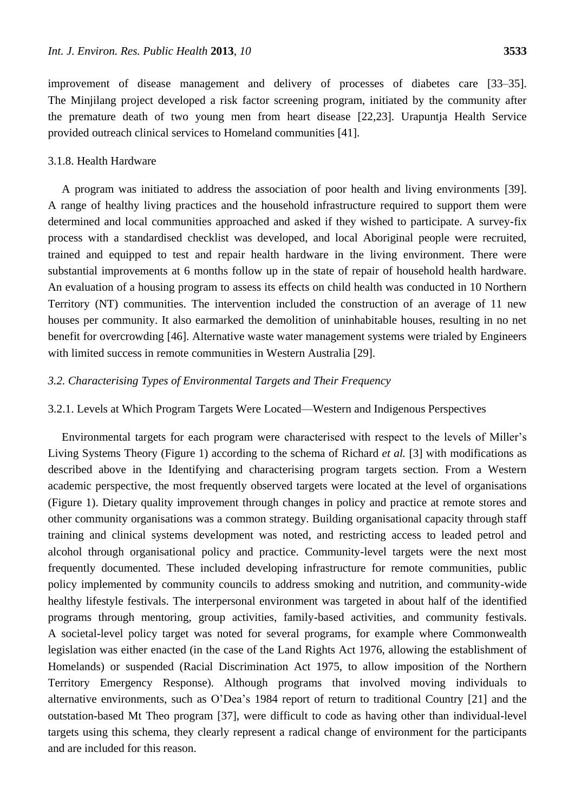improvement of disease management and delivery of processes of diabetes care [33–35]. The Minjilang project developed a risk factor screening program, initiated by the community after the premature death of two young men from heart disease [22,23]. Urapuntja Health Service provided outreach clinical services to Homeland communities [41].

#### 3.1.8. Health Hardware

A program was initiated to address the association of poor health and living environments [39]. A range of healthy living practices and the household infrastructure required to support them were determined and local communities approached and asked if they wished to participate. A survey-fix process with a standardised checklist was developed, and local Aboriginal people were recruited, trained and equipped to test and repair health hardware in the living environment. There were substantial improvements at 6 months follow up in the state of repair of household health hardware. An evaluation of a housing program to assess its effects on child health was conducted in 10 Northern Territory (NT) communities. The intervention included the construction of an average of 11 new houses per community. It also earmarked the demolition of uninhabitable houses, resulting in no net benefit for overcrowding [46]. Alternative waste water management systems were trialed by Engineers with limited success in remote communities in Western Australia [29].

### *3.2. Characterising Types of Environmental Targets and Their Frequency*

# 3.2.1. Levels at Which Program Targets Were Located—Western and Indigenous Perspectives

Environmental targets for each program were characterised with respect to the levels of Miller's Living Systems Theory (Figure 1) according to the schema of Richard *et al.* [3] with modifications as described above in the Identifying and characterising program targets section. From a Western academic perspective, the most frequently observed targets were located at the level of organisations (Figure 1). Dietary quality improvement through changes in policy and practice at remote stores and other community organisations was a common strategy. Building organisational capacity through staff training and clinical systems development was noted, and restricting access to leaded petrol and alcohol through organisational policy and practice. Community-level targets were the next most frequently documented. These included developing infrastructure for remote communities, public policy implemented by community councils to address smoking and nutrition, and community-wide healthy lifestyle festivals. The interpersonal environment was targeted in about half of the identified programs through mentoring, group activities, family-based activities, and community festivals. A societal-level policy target was noted for several programs, for example where Commonwealth legislation was either enacted (in the case of the Land Rights Act 1976, allowing the establishment of Homelands) or suspended (Racial Discrimination Act 1975, to allow imposition of the Northern Territory Emergency Response). Although programs that involved moving individuals to alternative environments, such as O'Dea's 1984 report of return to traditional Country [21] and the outstation-based Mt Theo program [37], were difficult to code as having other than individual-level targets using this schema, they clearly represent a radical change of environment for the participants and are included for this reason.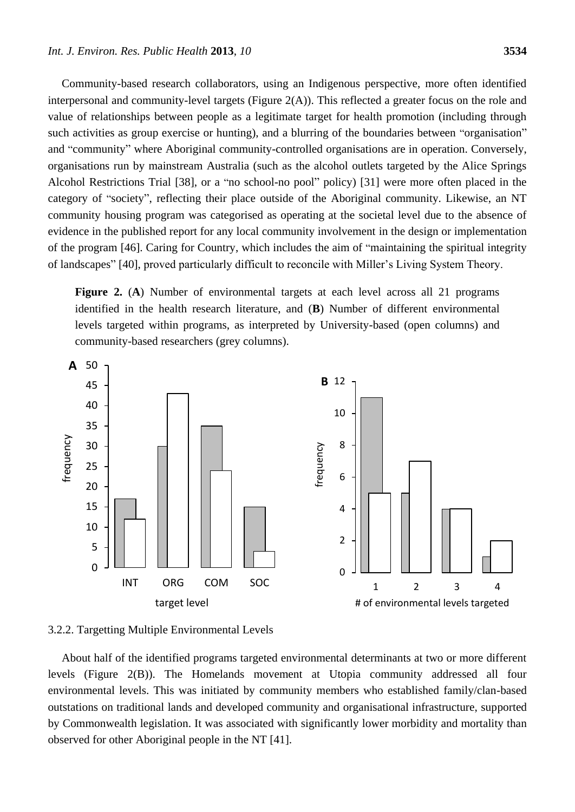Community-based research collaborators, using an Indigenous perspective, more often identified interpersonal and community-level targets (Figure 2(A)). This reflected a greater focus on the role and value of relationships between people as a legitimate target for health promotion (including through such activities as group exercise or hunting), and a blurring of the boundaries between "organisation" and "community" where Aboriginal community-controlled organisations are in operation. Conversely, organisations run by mainstream Australia (such as the alcohol outlets targeted by the Alice Springs Alcohol Restrictions Trial [38], or a "no school-no pool" policy) [31] were more often placed in the category of "society", reflecting their place outside of the Aboriginal community. Likewise, an NT community housing program was categorised as operating at the societal level due to the absence of evidence in the published report for any local community involvement in the design or implementation of the program [46]. Caring for Country, which includes the aim of "maintaining the spiritual integrity of landscapes" [40], proved particularly difficult to reconcile with Miller's Living System Theory.

**Figure 2.** (**A**) Number of environmental targets at each level across all 21 programs identified in the health research literature, and (**B**) Number of different environmental levels targeted within programs, as interpreted by University-based (open columns) and community-based researchers (grey columns).



3.2.2. Targetting Multiple Environmental Levels

About half of the identified programs targeted environmental determinants at two or more different levels (Figure 2(B)). The Homelands movement at Utopia community addressed all four environmental levels. This was initiated by community members who established family/clan-based outstations on traditional lands and developed community and organisational infrastructure, supported by Commonwealth legislation. It was associated with significantly lower morbidity and mortality than observed for other Aboriginal people in the NT [41].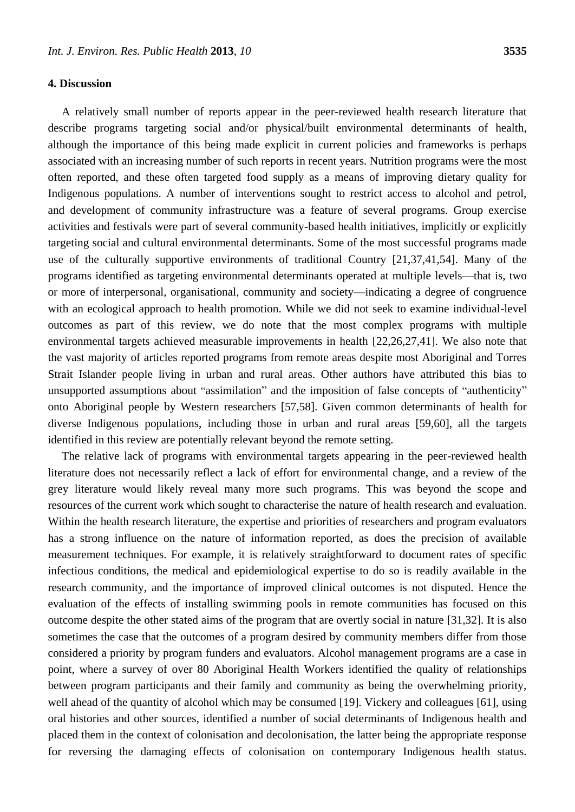#### **4. Discussion**

A relatively small number of reports appear in the peer-reviewed health research literature that describe programs targeting social and/or physical/built environmental determinants of health, although the importance of this being made explicit in current policies and frameworks is perhaps associated with an increasing number of such reports in recent years. Nutrition programs were the most often reported, and these often targeted food supply as a means of improving dietary quality for Indigenous populations. A number of interventions sought to restrict access to alcohol and petrol, and development of community infrastructure was a feature of several programs. Group exercise activities and festivals were part of several community-based health initiatives, implicitly or explicitly targeting social and cultural environmental determinants. Some of the most successful programs made use of the culturally supportive environments of traditional Country [21,37,41,54]. Many of the programs identified as targeting environmental determinants operated at multiple levels—that is, two or more of interpersonal, organisational, community and society—indicating a degree of congruence with an ecological approach to health promotion. While we did not seek to examine individual-level outcomes as part of this review, we do note that the most complex programs with multiple environmental targets achieved measurable improvements in health [22,26,27,41]. We also note that the vast majority of articles reported programs from remote areas despite most Aboriginal and Torres Strait Islander people living in urban and rural areas. Other authors have attributed this bias to unsupported assumptions about "assimilation" and the imposition of false concepts of "authenticity" onto Aboriginal people by Western researchers [57,58]. Given common determinants of health for diverse Indigenous populations, including those in urban and rural areas [59,60], all the targets identified in this review are potentially relevant beyond the remote setting.

The relative lack of programs with environmental targets appearing in the peer-reviewed health literature does not necessarily reflect a lack of effort for environmental change, and a review of the grey literature would likely reveal many more such programs. This was beyond the scope and resources of the current work which sought to characterise the nature of health research and evaluation. Within the health research literature, the expertise and priorities of researchers and program evaluators has a strong influence on the nature of information reported, as does the precision of available measurement techniques. For example, it is relatively straightforward to document rates of specific infectious conditions, the medical and epidemiological expertise to do so is readily available in the research community, and the importance of improved clinical outcomes is not disputed. Hence the evaluation of the effects of installing swimming pools in remote communities has focused on this outcome despite the other stated aims of the program that are overtly social in nature [31,32]. It is also sometimes the case that the outcomes of a program desired by community members differ from those considered a priority by program funders and evaluators. Alcohol management programs are a case in point, where a survey of over 80 Aboriginal Health Workers identified the quality of relationships between program participants and their family and community as being the overwhelming priority, well ahead of the quantity of alcohol which may be consumed [19]. Vickery and colleagues [61], using oral histories and other sources, identified a number of social determinants of Indigenous health and placed them in the context of colonisation and decolonisation, the latter being the appropriate response for reversing the damaging effects of colonisation on contemporary Indigenous health status.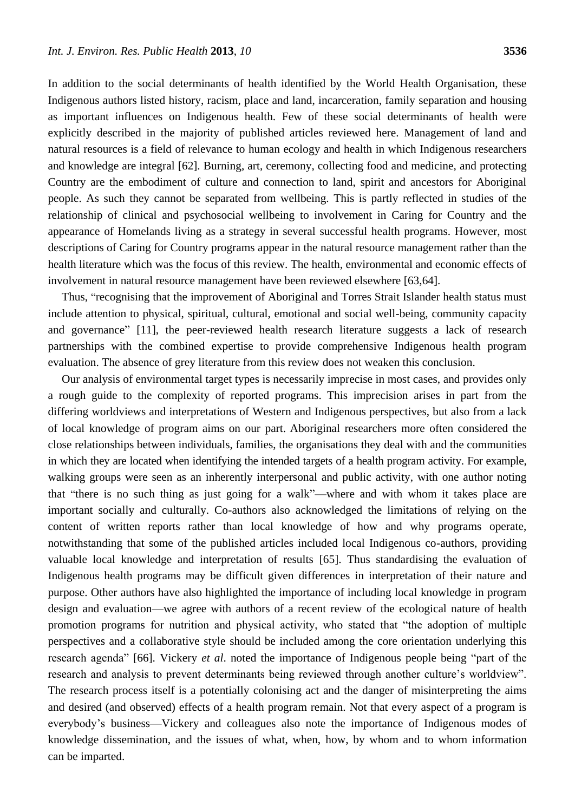In addition to the social determinants of health identified by the World Health Organisation, these Indigenous authors listed history, racism, place and land, incarceration, family separation and housing as important influences on Indigenous health. Few of these social determinants of health were explicitly described in the majority of published articles reviewed here. Management of land and natural resources is a field of relevance to human ecology and health in which Indigenous researchers and knowledge are integral [62]. Burning, art, ceremony, collecting food and medicine, and protecting Country are the embodiment of culture and connection to land, spirit and ancestors for Aboriginal people. As such they cannot be separated from wellbeing. This is partly reflected in studies of the relationship of clinical and psychosocial wellbeing to involvement in Caring for Country and the appearance of Homelands living as a strategy in several successful health programs. However, most descriptions of Caring for Country programs appear in the natural resource management rather than the health literature which was the focus of this review. The health, environmental and economic effects of involvement in natural resource management have been reviewed elsewhere [63,64].

Thus, "recognising that the improvement of Aboriginal and Torres Strait Islander health status must include attention to physical, spiritual, cultural, emotional and social well-being, community capacity and governance" [11], the peer-reviewed health research literature suggests a lack of research partnerships with the combined expertise to provide comprehensive Indigenous health program evaluation. The absence of grey literature from this review does not weaken this conclusion.

Our analysis of environmental target types is necessarily imprecise in most cases, and provides only a rough guide to the complexity of reported programs. This imprecision arises in part from the differing worldviews and interpretations of Western and Indigenous perspectives, but also from a lack of local knowledge of program aims on our part. Aboriginal researchers more often considered the close relationships between individuals, families, the organisations they deal with and the communities in which they are located when identifying the intended targets of a health program activity. For example, walking groups were seen as an inherently interpersonal and public activity, with one author noting that "there is no such thing as just going for a walk"—where and with whom it takes place are important socially and culturally. Co-authors also acknowledged the limitations of relying on the content of written reports rather than local knowledge of how and why programs operate, notwithstanding that some of the published articles included local Indigenous co-authors, providing valuable local knowledge and interpretation of results [65]. Thus standardising the evaluation of Indigenous health programs may be difficult given differences in interpretation of their nature and purpose. Other authors have also highlighted the importance of including local knowledge in program design and evaluation—we agree with authors of a recent review of the ecological nature of health promotion programs for nutrition and physical activity, who stated that "the adoption of multiple perspectives and a collaborative style should be included among the core orientation underlying this research agenda" [66]. Vickery *et al.* noted the importance of Indigenous people being "part of the research and analysis to prevent determinants being reviewed through another culture's worldview". The research process itself is a potentially colonising act and the danger of misinterpreting the aims and desired (and observed) effects of a health program remain. Not that every aspect of a program is everybody's business—Vickery and colleagues also note the importance of Indigenous modes of knowledge dissemination, and the issues of what, when, how, by whom and to whom information can be imparted.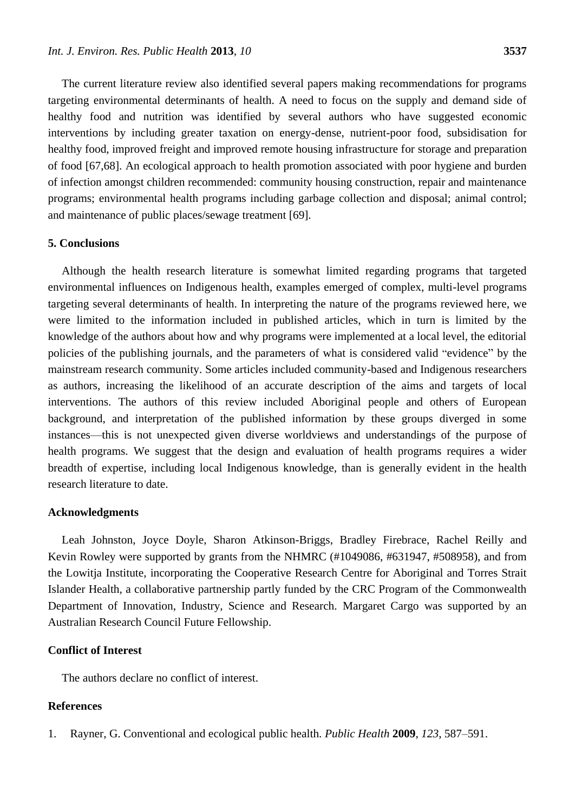The current literature review also identified several papers making recommendations for programs targeting environmental determinants of health. A need to focus on the supply and demand side of healthy food and nutrition was identified by several authors who have suggested economic interventions by including greater taxation on energy-dense, nutrient-poor food, subsidisation for healthy food, improved freight and improved remote housing infrastructure for storage and preparation of food [67,68]. An ecological approach to health promotion associated with poor hygiene and burden of infection amongst children recommended: community housing construction, repair and maintenance programs; environmental health programs including garbage collection and disposal; animal control; and maintenance of public places/sewage treatment [69].

## **5. Conclusions**

Although the health research literature is somewhat limited regarding programs that targeted environmental influences on Indigenous health, examples emerged of complex, multi-level programs targeting several determinants of health. In interpreting the nature of the programs reviewed here, we were limited to the information included in published articles, which in turn is limited by the knowledge of the authors about how and why programs were implemented at a local level, the editorial policies of the publishing journals, and the parameters of what is considered valid "evidence" by the mainstream research community. Some articles included community-based and Indigenous researchers as authors, increasing the likelihood of an accurate description of the aims and targets of local interventions. The authors of this review included Aboriginal people and others of European background, and interpretation of the published information by these groups diverged in some instances—this is not unexpected given diverse worldviews and understandings of the purpose of health programs. We suggest that the design and evaluation of health programs requires a wider breadth of expertise, including local Indigenous knowledge, than is generally evident in the health research literature to date.

#### **Acknowledgments**

Leah Johnston, Joyce Doyle, Sharon Atkinson-Briggs, Bradley Firebrace, Rachel Reilly and Kevin Rowley were supported by grants from the NHMRC (#1049086, #631947, #508958), and from the Lowitja Institute, incorporating the Cooperative Research Centre for Aboriginal and Torres Strait Islander Health, a collaborative partnership partly funded by the CRC Program of the Commonwealth Department of Innovation, Industry, Science and Research. Margaret Cargo was supported by an Australian Research Council Future Fellowship.

# **Conflict of Interest**

The authors declare no conflict of interest.

### **References**

1. Rayner, G. Conventional and ecological public health. *Public Health* **2009**, *123*, 587–591.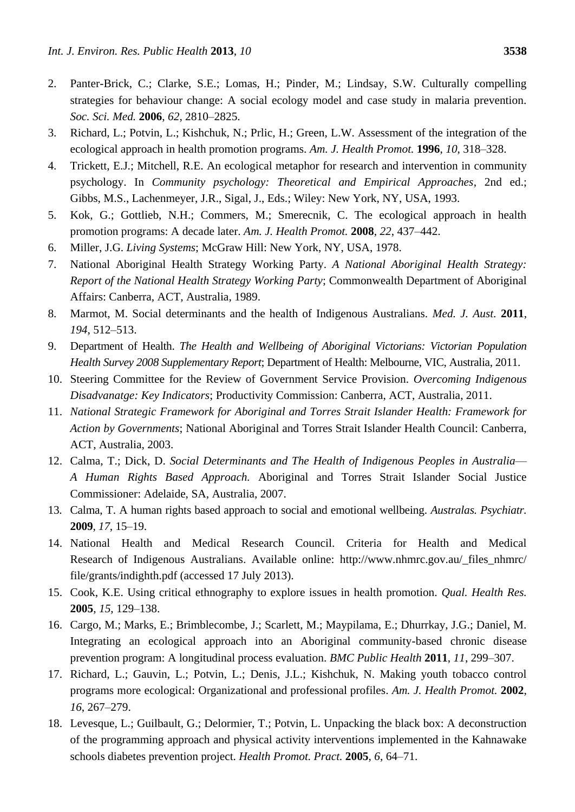- 2. Panter-Brick, C.; Clarke, S.E.; Lomas, H.; Pinder, M.; Lindsay, S.W. Culturally compelling strategies for behaviour change: A social ecology model and case study in malaria prevention. *Soc. Sci. Med.* **2006**, *62*, 2810–2825.
- 3. Richard, L.; Potvin, L.; Kishchuk, N.; Prlic, H.; Green, L.W. Assessment of the integration of the ecological approach in health promotion programs. *Am. J. Health Promot.* **1996**, *10*, 318–328.
- 4. Trickett, E.J.; Mitchell, R.E. An ecological metaphor for research and intervention in community psychology. In *Community psychology: Theoretical and Empirical Approaches*, 2nd ed.; Gibbs, M.S., Lachenmeyer, J.R., Sigal, J., Eds.; Wiley: New York, NY, USA, 1993.
- 5. Kok, G.; Gottlieb, N.H.; Commers, M.; Smerecnik, C. The ecological approach in health promotion programs: A decade later. *Am. J. Health Promot.* **2008**, *22*, 437–442.
- 6. Miller, J.G. *Living Systems*; McGraw Hill: New York, NY, USA, 1978.
- 7. National Aboriginal Health Strategy Working Party. *A National Aboriginal Health Strategy: Report of the National Health Strategy Working Party*; Commonwealth Department of Aboriginal Affairs: Canberra, ACT, Australia, 1989.
- 8. Marmot, M. Social determinants and the health of Indigenous Australians. *Med. J. Aust.* **2011**, *194*, 512–513.
- 9. Department of Health. *The Health and Wellbeing of Aboriginal Victorians: Victorian Population Health Survey 2008 Supplementary Report*; Department of Health: Melbourne, VIC, Australia, 2011.
- 10. Steering Committee for the Review of Government Service Provision. *Overcoming Indigenous Disadvanatge: Key Indicators*; Productivity Commission: Canberra, ACT, Australia, 2011.
- 11. *National Strategic Framework for Aboriginal and Torres Strait Islander Health: Framework for Action by Governments*; National Aboriginal and Torres Strait Islander Health Council: Canberra, ACT, Australia, 2003.
- 12. Calma, T.; Dick, D. *Social Determinants and The Health of Indigenous Peoples in Australia A Human Rights Based Approach.* Aboriginal and Torres Strait Islander Social Justice Commissioner: Adelaide, SA, Australia, 2007.
- 13. Calma, T. A human rights based approach to social and emotional wellbeing. *Australas. Psychiatr.* **2009**, *17*, 15–19.
- 14. National Health and Medical Research Council. Criteria for Health and Medical Research of Indigenous Australians. Available online: http://www.nhmrc.gov.au/\_files\_nhmrc/ file/grants/indighth.pdf (accessed 17 July 2013).
- 15. Cook, K.E. Using critical ethnography to explore issues in health promotion. *Qual. Health Res.*  **2005**, *15*, 129–138.
- 16. Cargo, M.; Marks, E.; Brimblecombe, J.; Scarlett, M.; Maypilama, E.; Dhurrkay, J.G.; Daniel, M. Integrating an ecological approach into an Aboriginal community-based chronic disease prevention program: A longitudinal process evaluation. *BMC Public Health* **2011**, *11*, 299–307.
- 17. Richard, L.; Gauvin, L.; Potvin, L.; Denis, J.L.; Kishchuk, N. Making youth tobacco control programs more ecological: Organizational and professional profiles. *Am. J. Health Promot.* **2002**, *16*, 267–279.
- 18. Levesque, L.; Guilbault, G.; Delormier, T.; Potvin, L. Unpacking the black box: A deconstruction of the programming approach and physical activity interventions implemented in the Kahnawake schools diabetes prevention project. *Health Promot. Pract.* **2005**, *6*, 64–71.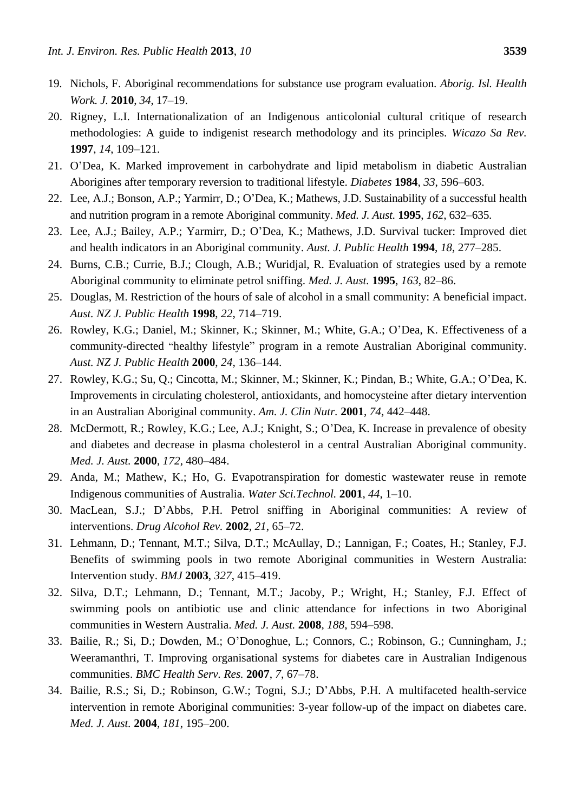- 19. Nichols, F. Aboriginal recommendations for substance use program evaluation. *Aborig. Isl. Health Work. J.* **2010**, *34*, 17–19.
- 20. Rigney, L.I. Internationalization of an Indigenous anticolonial cultural critique of research methodologies: A guide to indigenist research methodology and its principles. *Wicazo Sa Rev.* **1997**, *14*, 109–121.
- 21. O'Dea, K. Marked improvement in carbohydrate and lipid metabolism in diabetic Australian Aborigines after temporary reversion to traditional lifestyle. *Diabetes* **1984**, *33*, 596–603.
- 22. Lee, A.J.; Bonson, A.P.; Yarmirr, D.; O'Dea, K.; Mathews, J.D. Sustainability of a successful health and nutrition program in a remote Aboriginal community. *Med. J. Aust.* **1995**, *162*, 632–635.
- 23. Lee, A.J.; Bailey, A.P.; Yarmirr, D.; O'Dea, K.; Mathews, J.D. Survival tucker: Improved diet and health indicators in an Aboriginal community. *Aust. J. Public Health* **1994**, *18*, 277–285.
- 24. Burns, C.B.; Currie, B.J.; Clough, A.B.; Wuridjal, R. Evaluation of strategies used by a remote Aboriginal community to eliminate petrol sniffing. *Med. J. Aust.* **1995**, *163*, 82–86.
- 25. Douglas, M. Restriction of the hours of sale of alcohol in a small community: A beneficial impact. *Aust. NZ J. Public Health* **1998**, *22*, 714–719.
- 26. Rowley, K.G.; Daniel, M.; Skinner, K.; Skinner, M.; White, G.A.; O'Dea, K. Effectiveness of a community-directed "healthy lifestyle" program in a remote Australian Aboriginal community. *Aust. NZ J. Public Health* **2000**, *24*, 136–144.
- 27. Rowley, K.G.; Su, Q.; Cincotta, M.; Skinner, M.; Skinner, K.; Pindan, B.; White, G.A.; O'Dea, K. Improvements in circulating cholesterol, antioxidants, and homocysteine after dietary intervention in an Australian Aboriginal community. *Am. J. Clin Nutr.* **2001**, *74*, 442–448.
- 28. McDermott, R.; Rowley, K.G.; Lee, A.J.; Knight, S.; O'Dea, K. Increase in prevalence of obesity and diabetes and decrease in plasma cholesterol in a central Australian Aboriginal community. *Med. J. Aust.* **2000**, *172*, 480–484.
- 29. Anda, M.; Mathew, K.; Ho, G. Evapotranspiration for domestic wastewater reuse in remote Indigenous communities of Australia. *Water Sci.Technol.* **2001**, *44*, 1–10.
- 30. MacLean, S.J.; D'Abbs, P.H. Petrol sniffing in Aboriginal communities: A review of interventions. *Drug Alcohol Rev.* **2002**, *21*, 65–72.
- 31. Lehmann, D.; Tennant, M.T.; Silva, D.T.; McAullay, D.; Lannigan, F.; Coates, H.; Stanley, F.J. Benefits of swimming pools in two remote Aboriginal communities in Western Australia: Intervention study. *BMJ* **2003**, *327*, 415–419.
- 32. Silva, D.T.; Lehmann, D.; Tennant, M.T.; Jacoby, P.; Wright, H.; Stanley, F.J. Effect of swimming pools on antibiotic use and clinic attendance for infections in two Aboriginal communities in Western Australia. *Med. J. Aust.* **2008**, *188*, 594–598.
- 33. Bailie, R.; Si, D.; Dowden, M.; O'Donoghue, L.; Connors, C.; Robinson, G.; Cunningham, J.; Weeramanthri, T. Improving organisational systems for diabetes care in Australian Indigenous communities. *BMC Health Serv. Res.* **2007**, *7*, 67–78.
- 34. Bailie, R.S.; Si, D.; Robinson, G.W.; Togni, S.J.; D'Abbs, P.H. A multifaceted health-service intervention in remote Aboriginal communities: 3-year follow-up of the impact on diabetes care. *Med. J. Aust.* **2004**, *181*, 195–200.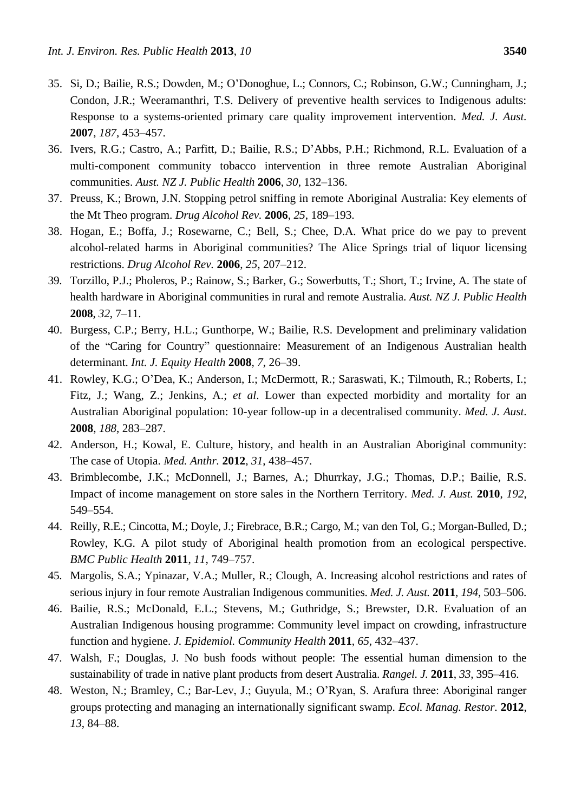- 35. Si, D.; Bailie, R.S.; Dowden, M.; O'Donoghue, L.; Connors, C.; Robinson, G.W.; Cunningham, J.; Condon, J.R.; Weeramanthri, T.S. Delivery of preventive health services to Indigenous adults: Response to a systems-oriented primary care quality improvement intervention. *Med. J. Aust.* **2007**, *187*, 453–457.
- 36. Ivers, R.G.; Castro, A.; Parfitt, D.; Bailie, R.S.; D'Abbs, P.H.; Richmond, R.L. Evaluation of a multi-component community tobacco intervention in three remote Australian Aboriginal communities. *Aust. NZ J. Public Health* **2006**, *30*, 132–136.
- 37. Preuss, K.; Brown, J.N. Stopping petrol sniffing in remote Aboriginal Australia: Key elements of the Mt Theo program. *Drug Alcohol Rev.* **2006**, *25*, 189–193.
- 38. Hogan, E.; Boffa, J.; Rosewarne, C.; Bell, S.; Chee, D.A. What price do we pay to prevent alcohol-related harms in Aboriginal communities? The Alice Springs trial of liquor licensing restrictions. *Drug Alcohol Rev.* **2006**, *25*, 207–212.
- 39. Torzillo, P.J.; Pholeros, P.; Rainow, S.; Barker, G.; Sowerbutts, T.; Short, T.; Irvine, A. The state of health hardware in Aboriginal communities in rural and remote Australia. *Aust. NZ J. Public Health*  **2008**, *32*, 7–11.
- 40. Burgess, C.P.; Berry, H.L.; Gunthorpe, W.; Bailie, R.S. Development and preliminary validation of the "Caring for Country" questionnaire: Measurement of an Indigenous Australian health determinant. *Int. J. Equity Health* **2008**, *7*, 26–39.
- 41. Rowley, K.G.; O'Dea, K.; Anderson, I.; McDermott, R.; Saraswati, K.; Tilmouth, R.; Roberts, I.; Fitz, J.; Wang, Z.; Jenkins, A.; *et al*. Lower than expected morbidity and mortality for an Australian Aboriginal population: 10-year follow-up in a decentralised community. *Med. J. Aust.* **2008**, *188*, 283–287.
- 42. Anderson, H.; Kowal, E. Culture, history, and health in an Australian Aboriginal community: The case of Utopia. *Med. Anthr.* **2012**, *31*, 438–457.
- 43. Brimblecombe, J.K.; McDonnell, J.; Barnes, A.; Dhurrkay, J.G.; Thomas, D.P.; Bailie, R.S. Impact of income management on store sales in the Northern Territory. *Med. J. Aust.* **2010**, *192*, 549–554.
- 44. Reilly, R.E.; Cincotta, M.; Doyle, J.; Firebrace, B.R.; Cargo, M.; van den Tol, G.; Morgan-Bulled, D.; Rowley, K.G. A pilot study of Aboriginal health promotion from an ecological perspective. *BMC Public Health* **2011**, *11*, 749–757.
- 45. Margolis, S.A.; Ypinazar, V.A.; Muller, R.; Clough, A. Increasing alcohol restrictions and rates of serious injury in four remote Australian Indigenous communities. *Med. J. Aust.* **2011**, *194*, 503–506.
- 46. Bailie, R.S.; McDonald, E.L.; Stevens, M.; Guthridge, S.; Brewster, D.R. Evaluation of an Australian Indigenous housing programme: Community level impact on crowding, infrastructure function and hygiene. *J. Epidemiol. Community Health* **2011**, *65*, 432–437.
- 47. Walsh, F.; Douglas, J. No bush foods without people: The essential human dimension to the sustainability of trade in native plant products from desert Australia. *Rangel. J.* **2011**, *33*, 395–416.
- 48. Weston, N.; Bramley, C.; Bar-Lev, J.; Guyula, M.; O'Ryan, S. Arafura three: Aboriginal ranger groups protecting and managing an internationally significant swamp. *Ecol. Manag. Restor.* **2012**, *13*, 84–88.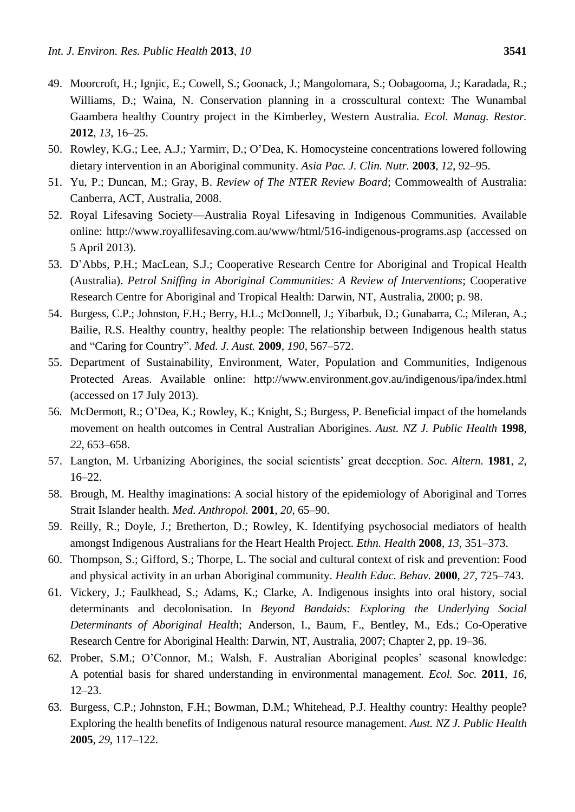- 49. Moorcroft, H.; Ignjic, E.; Cowell, S.; Goonack, J.; Mangolomara, S.; Oobagooma, J.; Karadada, R.; Williams, D.; Waina, N. Conservation planning in a crosscultural context: The Wunambal Gaambera healthy Country project in the Kimberley, Western Australia. *Ecol. Manag. Restor.*  **2012**, *13*, 16–25.
- 50. Rowley, K.G.; Lee, A.J.; Yarmirr, D.; O'Dea, K. Homocysteine concentrations lowered following dietary intervention in an Aboriginal community. *Asia Pac. J. Clin. Nutr.* **2003**, *12*, 92–95.
- 51. Yu, P.; Duncan, M.; Gray, B. *Review of The NTER Review Board*; Commowealth of Australia: Canberra, ACT, Australia, 2008.
- 52. Royal Lifesaving Society—Australia Royal Lifesaving in Indigenous Communities. Available online: http://www.royallifesaving.com.au/www/html/516-indigenous-programs.asp (accessed on 5 April 2013).
- 53. D'Abbs, P.H.; MacLean, S.J.; Cooperative Research Centre for Aboriginal and Tropical Health (Australia). *Petrol Sniffing in Aboriginal Communities: A Review of Interventions*; Cooperative Research Centre for Aboriginal and Tropical Health: Darwin, NT, Australia, 2000; p. 98.
- 54. Burgess, C.P.; Johnston, F.H.; Berry, H.L.; McDonnell, J.; Yibarbuk, D.; Gunabarra, C.; Mileran, A.; Bailie, R.S. Healthy country, healthy people: The relationship between Indigenous health status and "Caring for Country". *Med. J. Aust.* **2009**, *190*, 567–572.
- 55. Department of Sustainability, Environment, Water, Population and Communities, Indigenous Protected Areas. Available online: http://www.environment.gov.au/indigenous/ipa/index.html (accessed on 17 July 2013).
- 56. McDermott, R.; O'Dea, K.; Rowley, K.; Knight, S.; Burgess, P. Beneficial impact of the homelands movement on health outcomes in Central Australian Aborigines. *Aust. NZ J. Public Health* **1998**, *22*, 653–658.
- 57. Langton, M. Urbanizing Aborigines, the social scientists' great deception. *Soc. Altern.* **1981**, *2*, 16–22.
- 58. Brough, M. Healthy imaginations: A social history of the epidemiology of Aboriginal and Torres Strait Islander health. *Med. Anthropol.* **2001**, *20*, 65–90.
- 59. Reilly, R.; Doyle, J.; Bretherton, D.; Rowley, K. Identifying psychosocial mediators of health amongst Indigenous Australians for the Heart Health Project. *Ethn. Health* **2008**, *13*, 351–373.
- 60. Thompson, S.; Gifford, S.; Thorpe, L. The social and cultural context of risk and prevention: Food and physical activity in an urban Aboriginal community. *Health Educ. Behav.* **2000**, *27*, 725–743.
- 61. Vickery, J.; Faulkhead, S.; Adams, K.; Clarke, A. Indigenous insights into oral history, social determinants and decolonisation. In *Beyond Bandaids: Exploring the Underlying Social Determinants of Aboriginal Health*; Anderson, I., Baum, F., Bentley, M., Eds.; Co-Operative Research Centre for Aboriginal Health: Darwin, NT, Australia, 2007; Chapter 2, pp. 19–36.
- 62. Prober, S.M.; O'Connor, M.; Walsh, F. Australian Aboriginal peoples' seasonal knowledge: A potential basis for shared understanding in environmental management. *Ecol. Soc.* **2011**, *16*, 12–23.
- 63. Burgess, C.P.; Johnston, F.H.; Bowman, D.M.; Whitehead, P.J. Healthy country: Healthy people? Exploring the health benefits of Indigenous natural resource management. *Aust. NZ J. Public Health*  **2005**, *29*, 117–122.